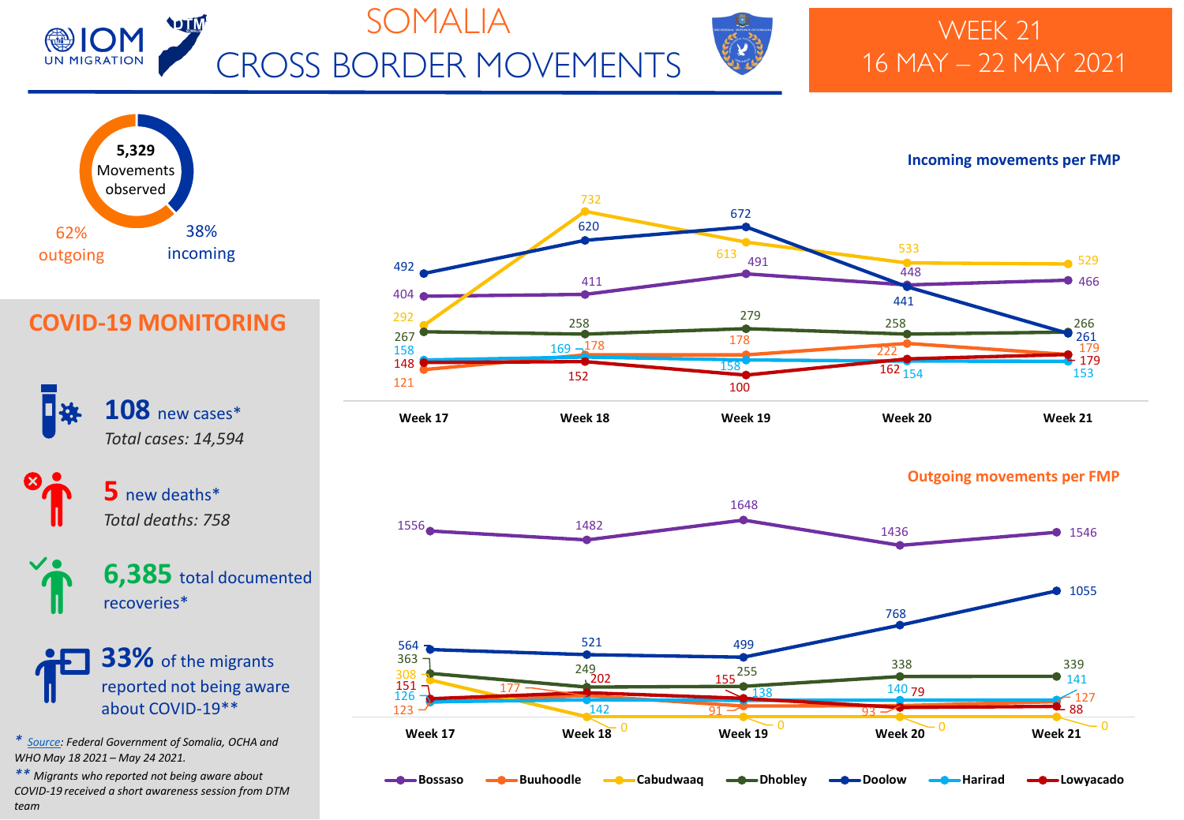

# SOMALIA CROSS BORDER MOVEMENTS



## WEEK 21 16 MAY – 22 MAY 2021